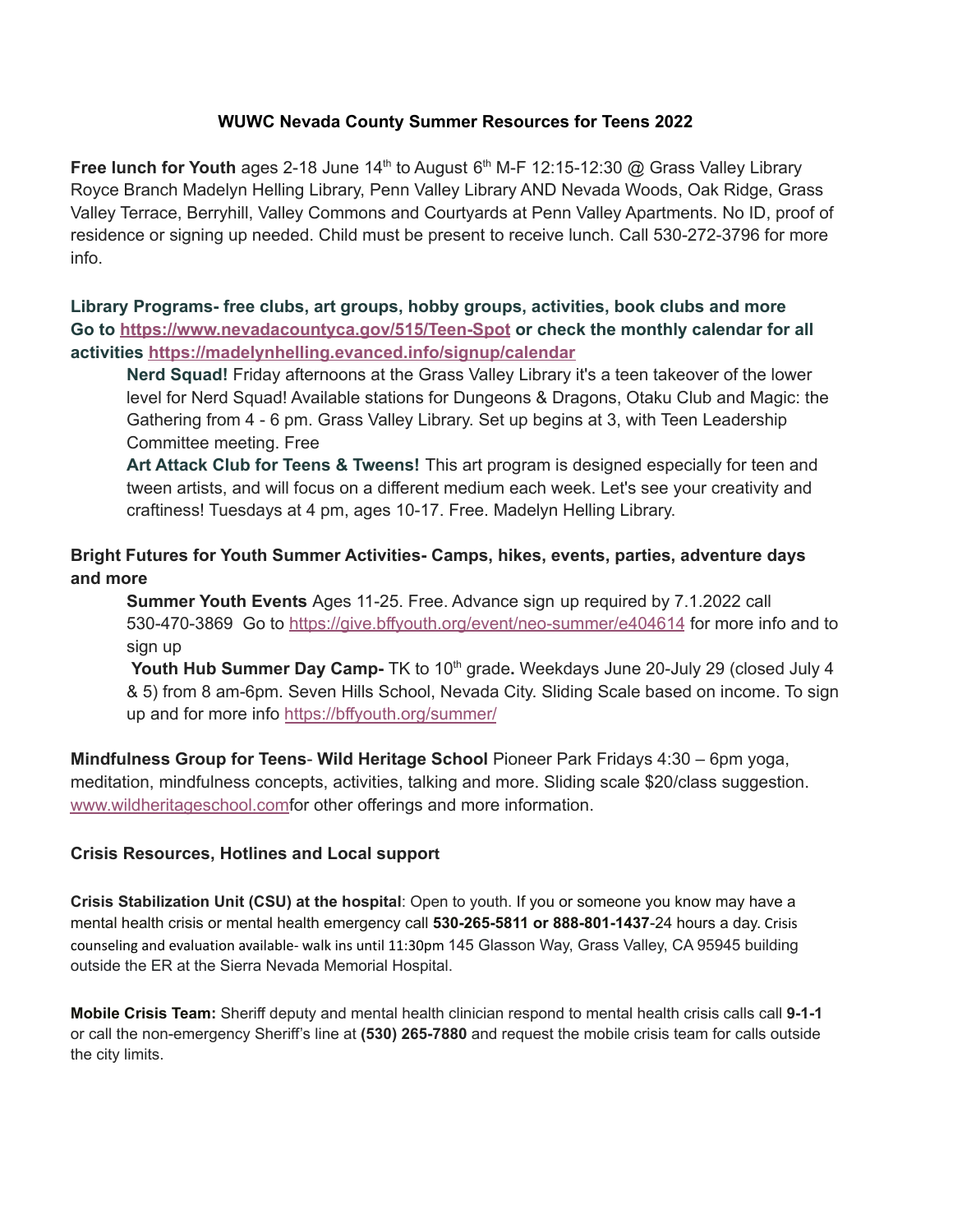## **WUWC Nevada County Summer Resources for Teens 2022**

**Free lunch for Youth** ages 2-18 June  $14<sup>th</sup>$  to August  $6<sup>th</sup>$  M-F 12:15-12:30 @ Grass Valley Library Royce Branch Madelyn Helling Library, Penn Valley Library AND Nevada Woods, Oak Ridge, Grass Valley Terrace, Berryhill, Valley Commons and Courtyards at Penn Valley Apartments. No ID, proof of residence or signing up needed. Child must be present to receive lunch. Call 530-272-3796 for more info.

**Library Programs- free clubs, art groups, hobby groups, activities, book clubs and more Go to https://www.nevadacountyca.gov/515/Teen-Spot or check the monthly calendar for all activities https://madelynhelling.evanced.info/signup/calendar**

**Nerd Squad!** Friday afternoons at the Grass Valley Library it's a teen takeover of the lower leyel for Nerd Squad! Ayailable stations for Dungeons & Dragons, Otaku Club and Magic: the Gathering from 4 - 6 pm. Grass Valley Library. Set up begins at 3, with Teen Leadership Committee meeting. Free

**Art Attack Club for Teens & Tweens!** This art program is designed especiall\ for teen and tween artists, and will focus on a different medium each week. Let's see your creativity and craftiness! Tuesdays at 4 pm, ages 10-17. Free. Madelyn Helling Library.

# **Bright Futures for Youth Summer Activities- Camps, hikes, events, parties, adventure days and more**

**Summer Youth Events** Ages 11-25. Free. Advance sign up required by 7.1.2022 call 530-470-3869 Go to https://give.bffyouth.org/event/neo-summer/e404614 for more info and to sign up

**Youth Hub Summer Day Camp-** TK to 10<sup>th</sup> grade. Weekdays June 20-July 29 (closed July 4 & 5) from 8 am-6pm. Seven Hills School, Nevada City. Sliding Scale based on income. To sign up and for more info https://bffyouth.org/summer/

**Mindfulness Group for Teens- Wild Heritage School Pioneer Park Fridays 4:30 – 6pm yoga,** meditation, mindfulness concepts, activities, talking and more. Sliding scale \$20/class suggestion. www.wildheritageschool.comfor other offerings and more information.

### **Crisis Resources, Hotlines and Local support**

**Crisis Stabilization Unit (CSU) at the hospital:** Open to youth. If you or someone you know may have a mental health crisis or mental health emergency call 530-265-5811 or 888-801-1437-24 hours a day. Crisis counseling and evaluation available- walk ins until 11:30pm 145 Glasson Way, Grass Valley, CA 95945 building outside the ER at the Sierra Nevada Memorial Hospital.

**Mobile Crisis Team:** Sheriff deputy and mental health clinician respond to mental health crisis calls call 9-1-1 or call the non-emergency Sheriff's line at (530) 265-7880 and request the mobile crisis team for calls outside the city limits.